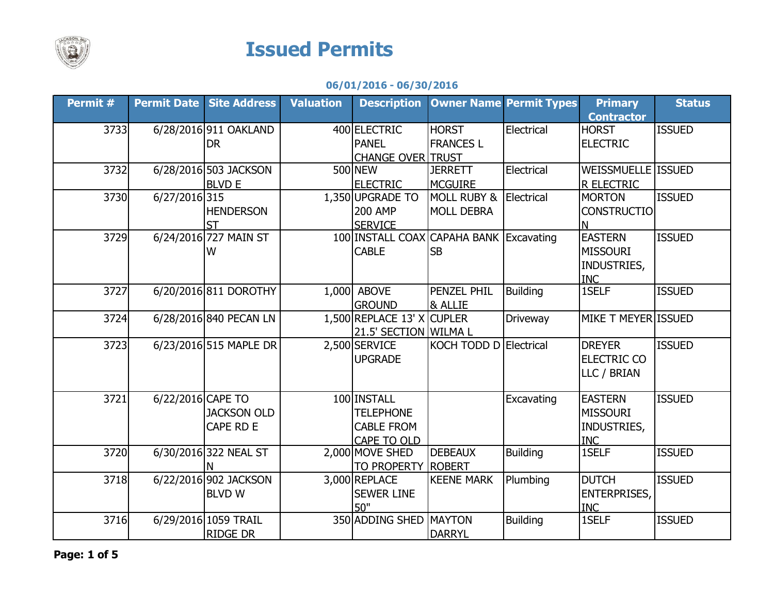

## **Issued Permits**

## **06/01/2016 - 06/30/2016**

| Permit # |                   | <b>Permit Date   Site Address</b> | <b>Valuation</b> | <b>Description</b>         | <b>Owner Name Permit Types</b>          |                 | <b>Primary</b>      | <b>Status</b> |
|----------|-------------------|-----------------------------------|------------------|----------------------------|-----------------------------------------|-----------------|---------------------|---------------|
|          |                   |                                   |                  |                            |                                         |                 | <b>Contractor</b>   |               |
| 3733     |                   | 6/28/2016 911 OAKLAND             |                  | 400 ELECTRIC               | <b>HORST</b>                            | Electrical      | <b>HORST</b>        | <b>ISSUED</b> |
|          |                   | <b>DR</b>                         |                  | <b>PANEL</b>               | <b>FRANCES L</b>                        |                 | <b>ELECTRIC</b>     |               |
|          |                   |                                   |                  | <b>CHANGE OVER TRUST</b>   |                                         |                 |                     |               |
| 3732     |                   | 6/28/2016 503 JACKSON             |                  | 500 NEW                    | <b>JERRETT</b>                          | Electrical      | WEISSMUELLE ISSUED  |               |
|          |                   | <b>BLVD E</b>                     |                  | <b>ELECTRIC</b>            | <b>MCGUIRE</b>                          |                 | R ELECTRIC          |               |
| 3730     | 6/27/2016 315     |                                   |                  | 1,350 UPGRADE TO           | MOLL RUBY &                             | Electrical      | <b>MORTON</b>       | <b>ISSUED</b> |
|          |                   | <b>HENDERSON</b>                  |                  | <b>200 AMP</b>             | <b>MOLL DEBRA</b>                       |                 | <b>CONSTRUCTIO</b>  |               |
|          |                   | <b>ST</b>                         |                  | <b>SERVICE</b>             |                                         |                 | N                   |               |
| 3729     |                   | 6/24/2016 727 MAIN ST             |                  |                            | 100 INSTALL COAX CAPAHA BANK Excavating |                 | <b>EASTERN</b>      | <b>ISSUED</b> |
|          |                   | W                                 |                  | <b>CABLE</b>               | <b>SB</b>                               |                 | <b>MISSOURI</b>     |               |
|          |                   |                                   |                  |                            |                                         |                 | INDUSTRIES,         |               |
|          |                   |                                   |                  |                            |                                         |                 | <b>INC</b>          |               |
| 3727     |                   | 6/20/2016 811 DOROTHY             |                  | 1,000 ABOVE                | PENZEL PHIL                             | <b>Building</b> | 1SELF               | <b>ISSUED</b> |
|          |                   |                                   |                  | <b>GROUND</b>              | <b>&amp; ALLIE</b>                      |                 |                     |               |
| 3724     |                   | 6/28/2016 840 PECAN LN            |                  | 1,500 REPLACE 13' X CUPLER |                                         | Driveway        | MIKE T MEYER ISSUED |               |
|          |                   |                                   |                  | 21.5' SECTION WILMA L      |                                         |                 |                     |               |
| 3723     |                   | 6/23/2016 515 MAPLE DR            |                  | 2,500 SERVICE              | KOCH TODD D Electrical                  |                 | <b>DREYER</b>       | <b>ISSUED</b> |
|          |                   |                                   |                  | <b>UPGRADE</b>             |                                         |                 | <b>ELECTRIC CO</b>  |               |
|          |                   |                                   |                  |                            |                                         |                 | LLC / BRIAN         |               |
|          |                   |                                   |                  |                            |                                         |                 |                     |               |
| 3721     | 6/22/2016 CAPE TO |                                   |                  | 100 INSTALL                |                                         | Excavating      | <b>EASTERN</b>      | <b>ISSUED</b> |
|          |                   | <b>JACKSON OLD</b>                |                  | <b>TELEPHONE</b>           |                                         |                 | <b>MISSOURI</b>     |               |
|          |                   | CAPE RD E                         |                  | <b>CABLE FROM</b>          |                                         |                 | INDUSTRIES,         |               |
|          |                   |                                   |                  | CAPE TO OLD                |                                         |                 | <b>INC</b>          |               |
| 3720     |                   | 6/30/2016 322 NEAL ST             |                  | 2,000 MOVE SHED            | <b>DEBEAUX</b>                          | <b>Building</b> | 1SELF               | <b>ISSUED</b> |
|          |                   |                                   |                  | TO PROPERTY ROBERT         |                                         |                 |                     |               |
| 3718     |                   | 6/22/2016 902 JACKSON             |                  | 3,000 REPLACE              | <b>KEENE MARK</b>                       | Plumbing        | <b>DUTCH</b>        | <b>ISSUED</b> |
|          |                   | <b>BLVDW</b>                      |                  | <b>SEWER LINE</b>          |                                         |                 | <b>ENTERPRISES,</b> |               |
|          |                   |                                   |                  | 50"                        |                                         |                 | <b>INC</b>          |               |
| 3716     |                   | 6/29/2016 1059 TRAIL              |                  | 350 ADDING SHED            | MAYTON                                  | <b>Building</b> | 1SELF               | <b>ISSUED</b> |
|          |                   | <b>RIDGE DR</b>                   |                  |                            | <b>DARRYL</b>                           |                 |                     |               |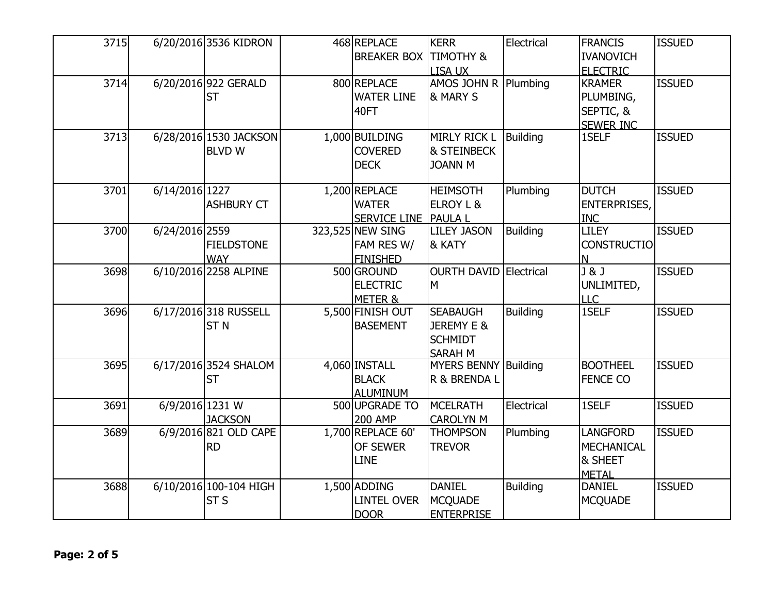| 3715 |                   | 6/20/2016 3536 KIDRON                    | 468 REPLACE<br><b>BREAKER BOX</b>                     | <b>KERR</b><br><b>TIMOTHY &amp;</b><br>LISA UX                    | Electrical      | <b>FRANCIS</b><br><b>IVANOVICH</b><br><b>ELECTRIC</b>           | <b>ISSUED</b> |
|------|-------------------|------------------------------------------|-------------------------------------------------------|-------------------------------------------------------------------|-----------------|-----------------------------------------------------------------|---------------|
| 3714 |                   | 6/20/2016 922 GERALD<br><b>ST</b>        | 800 REPLACE<br><b>WATER LINE</b><br>40FT              | AMOS JOHN R<br>& MARY S                                           | Plumbing        | <b>KRAMER</b><br>PLUMBING,<br>SEPTIC, &<br><b>SEWER INC</b>     | <b>ISSUED</b> |
| 3713 |                   | 6/28/2016 1530 JACKSON<br><b>BLVDW</b>   | 1,000 BUILDING<br><b>COVERED</b><br><b>DECK</b>       | <b>MIRLY RICK L</b><br><b>&amp; STEINBECK</b><br><b>JOANN M</b>   | <b>Building</b> | 1SELF                                                           | <b>ISSUED</b> |
| 3701 | 6/14/2016 1227    | <b>ASHBURY CT</b>                        | 1,200 REPLACE<br><b>WATER</b><br>SERVICE LINE PAULA L | <b>HEIMSOTH</b><br>ELROY L &                                      | Plumbing        | <b>DUTCH</b><br><b>ENTERPRISES,</b><br><b>INC</b>               | <b>ISSUED</b> |
| 3700 | 6/24/2016 2559    | <b>FIELDSTONE</b><br><b>WAY</b>          | 323,525 NEW SING<br>FAM RES W/<br><b>FINISHED</b>     | <b>LILEY JASON</b><br>& KATY                                      | <b>Building</b> | <b>LILEY</b><br><b>CONSTRUCTIO</b><br>N                         | <b>ISSUED</b> |
| 3698 |                   | 6/10/2016 2258 ALPINE                    | 500 GROUND<br><b>ELECTRIC</b><br>METER &              | <b>OURTH DAVID Electrical</b><br>M                                |                 | $\overline{J\&J}$<br>UNLIMITED,<br><b>LLC</b>                   | <b>ISSUED</b> |
| 3696 |                   | 6/17/2016 318 RUSSELL<br>ST <sub>N</sub> | 5,500 FINISH OUT<br><b>BASEMENT</b>                   | <b>SEABAUGH</b><br>JEREMY E &<br><b>SCHMIDT</b><br><b>SARAH M</b> | <b>Building</b> | 1SELF                                                           | <b>ISSUED</b> |
| 3695 |                   | 6/17/2016 3524 SHALOM<br><b>ST</b>       | 4,060 INSTALL<br><b>BLACK</b><br><b>ALUMINUM</b>      | <b>MYERS BENNY Building</b><br>R & BRENDA L                       |                 | <b>BOOTHEEL</b><br><b>FENCE CO</b>                              | <b>ISSUED</b> |
| 3691 | $6/9/2016$ 1231 W | <b>JACKSON</b>                           | 500 UPGRADE TO<br><b>200 AMP</b>                      | MCELRATH<br><b>CAROLYN M</b>                                      | Electrical      | 1SELF                                                           | <b>ISSUED</b> |
| 3689 |                   | 6/9/2016 821 OLD CAPE<br><b>RD</b>       | 1,700 REPLACE 60'<br>OF SEWER<br>LINE                 | <b>THOMPSON</b><br><b>TREVOR</b>                                  | Plumbing        | <b>LANGFORD</b><br><b>MECHANICAL</b><br>& SHEET<br><b>METAL</b> | <b>ISSUED</b> |
| 3688 |                   | 6/10/2016 100-104 HIGH<br><b>ST S</b>    | 1,500 ADDING<br><b>LINTEL OVER</b><br><b>DOOR</b>     | <b>DANIEL</b><br><b>MCQUADE</b><br><b>ENTERPRISE</b>              | <b>Building</b> | <b>DANIEL</b><br><b>MCQUADE</b>                                 | <b>ISSUED</b> |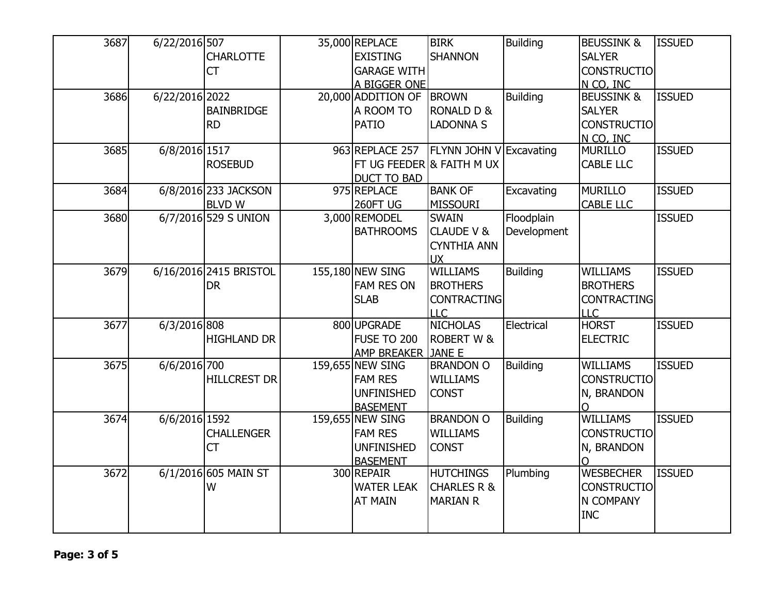| 3687 | 6/22/2016 507  |                        | 35,000 REPLACE            | <b>BIRK</b>             | <b>Building</b> | <b>BEUSSINK &amp;</b> | <b>ISSUED</b> |
|------|----------------|------------------------|---------------------------|-------------------------|-----------------|-----------------------|---------------|
|      |                | <b>CHARLOTTE</b>       | <b>EXISTING</b>           | <b>SHANNON</b>          |                 | <b>SALYER</b>         |               |
|      |                | <b>CT</b>              | <b>GARAGE WITH</b>        |                         |                 | <b>CONSTRUCTIO</b>    |               |
|      |                |                        | A BIGGER ONE              |                         |                 | N CO, INC             |               |
| 3686 | 6/22/2016 2022 |                        | 20,000 ADDITION OF        | <b>BROWN</b>            | <b>Building</b> | <b>BEUSSINK &amp;</b> | <b>ISSUED</b> |
|      |                | <b>BAINBRIDGE</b>      | A ROOM TO                 | <b>RONALD D &amp;</b>   |                 | <b>SALYER</b>         |               |
|      |                | <b>RD</b>              | <b>PATIO</b>              | <b>LADONNA S</b>        |                 | <b>CONSTRUCTIO</b>    |               |
|      |                |                        |                           |                         |                 | N CO, INC             |               |
| 3685 | 6/8/2016 1517  |                        | 963 REPLACE 257           | FLYNN JOHN V Excavating |                 | <b>MURILLO</b>        | <b>ISSUED</b> |
|      |                | <b>ROSEBUD</b>         | FT UG FEEDER & FAITH M UX |                         |                 | <b>CABLE LLC</b>      |               |
|      |                |                        | <b>DUCT TO BAD</b>        |                         |                 |                       |               |
| 3684 |                | 6/8/2016 233 JACKSON   | 975 REPLACE               | <b>BANK OF</b>          | Excavating      | <b>MURILLO</b>        | <b>ISSUED</b> |
|      |                | <b>BLVDW</b>           | 260FT UG                  | <b>MISSOURI</b>         |                 | <b>CABLE LLC</b>      |               |
| 3680 |                | 6/7/2016 529 S UNION   | 3,000 REMODEL             | <b>SWAIN</b>            | Floodplain      |                       | <b>ISSUED</b> |
|      |                |                        | <b>BATHROOMS</b>          | <b>CLAUDE V &amp;</b>   | Development     |                       |               |
|      |                |                        |                           | <b>CYNTHIA ANN</b>      |                 |                       |               |
|      |                |                        |                           | <b>UX</b>               |                 |                       |               |
| 3679 |                | 6/16/2016 2415 BRISTOL | 155,180 NEW SING          | <b>WILLIAMS</b>         | <b>Building</b> | <b>WILLIAMS</b>       | <b>ISSUED</b> |
|      |                | <b>DR</b>              | <b>FAM RES ON</b>         | <b>BROTHERS</b>         |                 | <b>BROTHERS</b>       |               |
|      |                |                        | <b>SLAB</b>               | <b>CONTRACTING</b>      |                 | <b>CONTRACTING</b>    |               |
|      |                |                        |                           | LLC                     |                 | <b>LLC</b>            |               |
| 3677 | 6/3/2016 808   |                        | 800 UPGRADE               | <b>NICHOLAS</b>         | Electrical      | <b>HORST</b>          | <b>ISSUED</b> |
|      |                | <b>HIGHLAND DR</b>     | <b>FUSE TO 200</b>        | <b>ROBERT W &amp;</b>   |                 | <b>ELECTRIC</b>       |               |
|      |                |                        | AMP BREAKER JANE E        |                         |                 |                       |               |
| 3675 | 6/6/2016 700   |                        | 159,655 NEW SING          | <b>BRANDON O</b>        | <b>Building</b> | <b>WILLIAMS</b>       | <b>ISSUED</b> |
|      |                | <b>HILLCREST DR</b>    | <b>FAM RES</b>            | <b>WILLIAMS</b>         |                 | <b>CONSTRUCTIO</b>    |               |
|      |                |                        | <b>UNFINISHED</b>         | <b>CONST</b>            |                 | N, BRANDON            |               |
|      |                |                        | <b>BASEMENT</b>           |                         |                 | O                     |               |
| 3674 | 6/6/2016 1592  |                        | 159,655 NEW SING          | <b>BRANDON O</b>        | <b>Building</b> | <b>WILLIAMS</b>       | <b>ISSUED</b> |
|      |                | <b>CHALLENGER</b>      | <b>FAM RES</b>            | <b>WILLIAMS</b>         |                 | <b>CONSTRUCTIO</b>    |               |
|      |                | CT                     | <b>UNFINISHED</b>         | <b>CONST</b>            |                 | N, BRANDON            |               |
|      |                |                        | <b>BASEMENT</b>           |                         |                 | $\Omega$              |               |
| 3672 |                | 6/1/2016 605 MAIN ST   | 300 REPAIR                | <b>HUTCHINGS</b>        | Plumbing        | <b>WESBECHER</b>      | <b>ISSUED</b> |
|      |                | W                      | <b>WATER LEAK</b>         | <b>CHARLES R &amp;</b>  |                 | <b>CONSTRUCTIO</b>    |               |
|      |                |                        | <b>AT MAIN</b>            | <b>MARIAN R</b>         |                 | N COMPANY             |               |
|      |                |                        |                           |                         |                 | <b>INC</b>            |               |
|      |                |                        |                           |                         |                 |                       |               |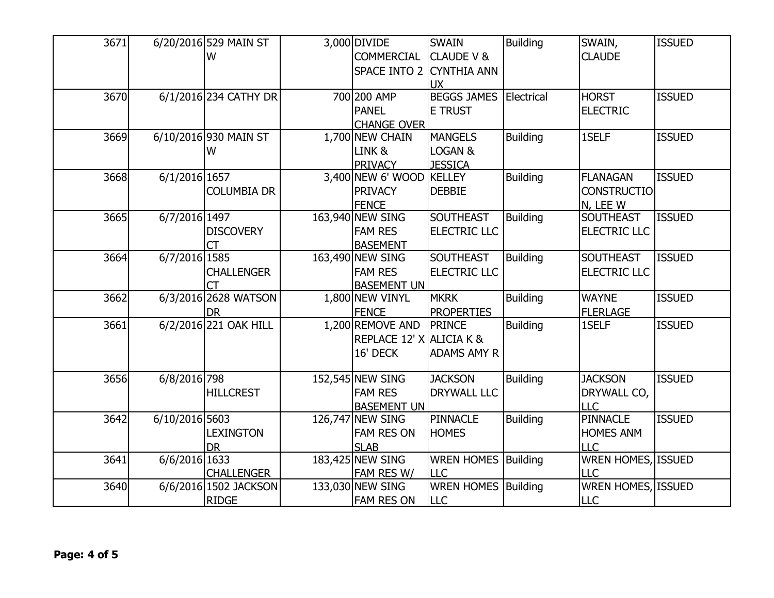| 3671 |                | 6/20/2016 529 MAIN ST | 3,000 DIVIDE             | <b>SWAIN</b>               | <b>Building</b> | SWAIN,              | <b>ISSUED</b> |
|------|----------------|-----------------------|--------------------------|----------------------------|-----------------|---------------------|---------------|
|      |                | W                     | <b>COMMERCIAL</b>        | <b>CLAUDE V &amp;</b>      |                 | <b>CLAUDE</b>       |               |
|      |                |                       | SPACE INTO 2 CYNTHIA ANN |                            |                 |                     |               |
|      |                |                       |                          | <b>UX</b>                  |                 |                     |               |
| 3670 |                | 6/1/2016 234 CATHY DR | 700 200 AMP              | <b>BEGGS JAMES</b>         | Electrical      | <b>HORST</b>        | <b>ISSUED</b> |
|      |                |                       | <b>PANEL</b>             | <b>E TRUST</b>             |                 | <b>ELECTRIC</b>     |               |
|      |                |                       | <b>CHANGE OVER</b>       |                            |                 |                     |               |
| 3669 |                | 6/10/2016 930 MAIN ST | 1,700 NEW CHAIN          | <b>MANGELS</b>             | <b>Building</b> | 1SELF               | <b>ISSUED</b> |
|      |                | W                     | LINK &                   | LOGAN &                    |                 |                     |               |
|      |                |                       | <b>PRIVACY</b>           | <b>JESSICA</b>             |                 |                     |               |
| 3668 | 6/1/2016 1657  |                       | 3,400 NEW 6' WOOD KELLEY |                            | <b>Building</b> | <b>FLANAGAN</b>     | <b>ISSUED</b> |
|      |                | <b>COLUMBIA DR</b>    | <b>PRIVACY</b>           | <b>DEBBIE</b>              |                 | <b>CONSTRUCTIO</b>  |               |
|      |                |                       | <b>FENCE</b>             |                            |                 | N, LEE W            |               |
| 3665 | 6/7/2016 1497  |                       | 163,940 NEW SING         | <b>SOUTHEAST</b>           | <b>Building</b> | <b>SOUTHEAST</b>    | <b>ISSUED</b> |
|      |                | <b>DISCOVERY</b>      | <b>FAM RES</b>           | <b>ELECTRIC LLC</b>        |                 | <b>ELECTRIC LLC</b> |               |
|      |                | <b>CT</b>             | <b>BASEMENT</b>          |                            |                 |                     |               |
| 3664 | 6/7/2016 1585  |                       | 163,490 NEW SING         | <b>SOUTHEAST</b>           | <b>Building</b> | <b>SOUTHEAST</b>    | <b>ISSUED</b> |
|      |                | <b>CHALLENGER</b>     | <b>FAM RES</b>           | <b>ELECTRIC LLC</b>        |                 | <b>ELECTRIC LLC</b> |               |
|      |                | <b>CT</b>             | <b>BASEMENT UN</b>       |                            |                 |                     |               |
| 3662 |                | 6/3/2016 2628 WATSON  | 1,800 NEW VINYL          | <b>MKRK</b>                | <b>Building</b> | <b>WAYNE</b>        | <b>ISSUED</b> |
|      |                | <b>DR</b>             | <b>FENCE</b>             | <b>PROPERTIES</b>          |                 | <b>FLERLAGE</b>     |               |
| 3661 |                | 6/2/2016 221 OAK HILL | 1,200 REMOVE AND         | <b>PRINCE</b>              | <b>Building</b> | 1SELF               | <b>ISSUED</b> |
|      |                |                       | REPLACE 12' X ALICIA K & |                            |                 |                     |               |
|      |                |                       | 16' DECK                 | <b>ADAMS AMY R</b>         |                 |                     |               |
|      |                |                       |                          |                            |                 |                     |               |
| 3656 | 6/8/2016 798   |                       | 152,545 NEW SING         | <b>JACKSON</b>             | <b>Building</b> | <b>JACKSON</b>      | <b>ISSUED</b> |
|      |                | <b>HILLCREST</b>      | <b>FAM RES</b>           | <b>DRYWALL LLC</b>         |                 | DRYWALL CO,         |               |
|      |                |                       | <b>BASEMENT UN</b>       |                            |                 | <b>LLC</b>          |               |
| 3642 | 6/10/2016 5603 |                       | 126,747 NEW SING         | <b>PINNACLE</b>            | <b>Building</b> | <b>PINNACLE</b>     | <b>ISSUED</b> |
|      |                | <b>LEXINGTON</b>      | <b>FAM RES ON</b>        | <b>HOMES</b>               |                 | <b>HOMES ANM</b>    |               |
|      |                | <b>DR</b>             | <b>SLAB</b>              |                            |                 | <b>LLC</b>          |               |
| 3641 | 6/6/2016 1633  |                       | 183,425 NEW SING         | <b>WREN HOMES</b>          | Building        | WREN HOMES, ISSUED  |               |
|      |                | <b>CHALLENGER</b>     | FAM RES W/               | <b>ILLC</b>                |                 | <b>LLC</b>          |               |
| 3640 |                | 6/6/2016 1502 JACKSON | 133,030 NEW SING         | <b>WREN HOMES Building</b> |                 | WREN HOMES, ISSUED  |               |
|      |                | <b>RIDGE</b>          | <b>FAM RES ON</b>        | <b>LLC</b>                 |                 | <b>LLC</b>          |               |